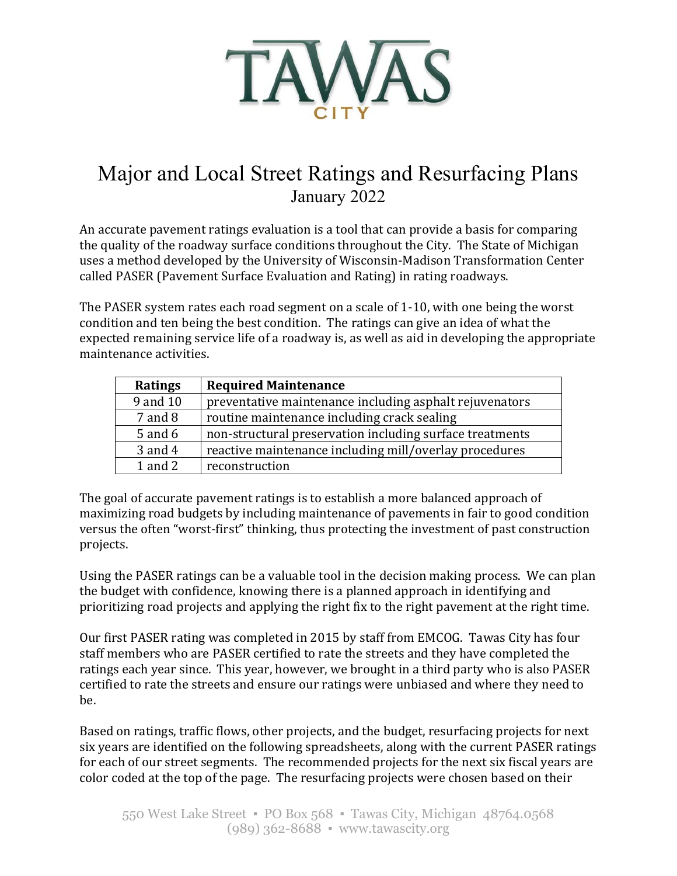

# Major and Local Street Ratings and Resurfacing Plans January 2022

An accurate pavement ratings evaluation is a tool that can provide a basis for comparing the quality of the roadway surface conditions throughout the City. The State of Michigan uses a method developed by the University of Wisconsin-Madison Transformation Center called PASER (Pavement Surface Evaluation and Rating) in rating roadways.

The PASER system rates each road segment on a scale of 1-10, with one being the worst condition and ten being the best condition. The ratings can give an idea of what the expected remaining service life of a roadway is, as well as aid in developing the appropriate maintenance activities.

| <b>Ratings</b> | <b>Required Maintenance</b>                              |
|----------------|----------------------------------------------------------|
| 9 and 10       | preventative maintenance including asphalt rejuvenators  |
| $7$ and $8$    | routine maintenance including crack sealing              |
| $5$ and $6$    | non-structural preservation including surface treatments |
| 3 and 4        | reactive maintenance including mill/overlay procedures   |
| $1$ and $2$    | reconstruction                                           |

The goal of accurate pavement ratings is to establish a more balanced approach of maximizing road budgets by including maintenance of pavements in fair to good condition versus the often "worst-first" thinking, thus protecting the investment of past construction projects.

Using the PASER ratings can be a valuable tool in the decision making process. We can plan the budget with confidence, knowing there is a planned approach in identifying and prioritizing road projects and applying the right fix to the right pavement at the right time.

Our first PASER rating was completed in 2015 by staff from EMCOG. Tawas City has four staff members who are PASER certified to rate the streets and they have completed the ratings each year since. This year, however, we brought in a third party who is also PASER certified to rate the streets and ensure our ratings were unbiased and where they need to be.

Based on ratings, traffic flows, other projects, and the budget, resurfacing projects for next six years are identified on the following spreadsheets, along with the current PASER ratings for each of our street segments. The recommended projects for the next six fiscal years are color coded at the top of the page. The resurfacing projects were chosen based on their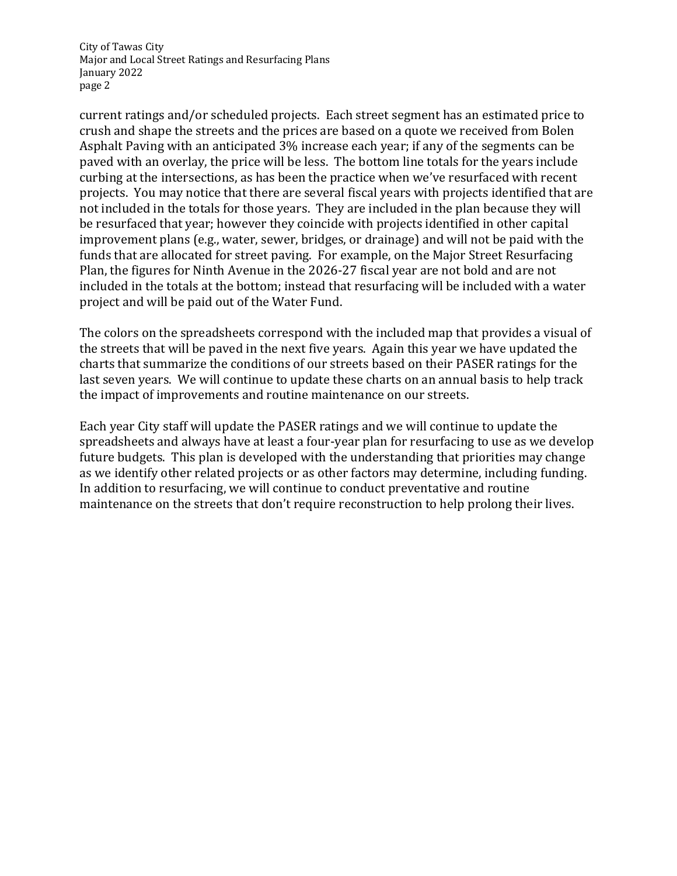City of Tawas City Major and Local Street Ratings and Resurfacing Plans January 2022 page 2

current ratings and/or scheduled projects. Each street segment has an estimated price to crush and shape the streets and the prices are based on a quote we received from Bolen Asphalt Paving with an anticipated 3% increase each year; if any of the segments can be paved with an overlay, the price will be less. The bottom line totals for the years include curbing at the intersections, as has been the practice when we've resurfaced with recent projects. You may notice that there are several fiscal years with projects identified that are not included in the totals for those years. They are included in the plan because they will be resurfaced that year; however they coincide with projects identified in other capital improvement plans (e.g., water, sewer, bridges, or drainage) and will not be paid with the funds that are allocated for street paving. For example, on the Major Street Resurfacing Plan, the figures for Ninth Avenue in the 2026-27 fiscal year are not bold and are not included in the totals at the bottom; instead that resurfacing will be included with a water project and will be paid out of the Water Fund.

The colors on the spreadsheets correspond with the included map that provides a visual of the streets that will be paved in the next five years. Again this year we have updated the charts that summarize the conditions of our streets based on their PASER ratings for the last seven years. We will continue to update these charts on an annual basis to help track the impact of improvements and routine maintenance on our streets.

Each year City staff will update the PASER ratings and we will continue to update the spreadsheets and always have at least a four-year plan for resurfacing to use as we develop future budgets. This plan is developed with the understanding that priorities may change as we identify other related projects or as other factors may determine, including funding. In addition to resurfacing, we will continue to conduct preventative and routine maintenance on the streets that don't require reconstruction to help prolong their lives.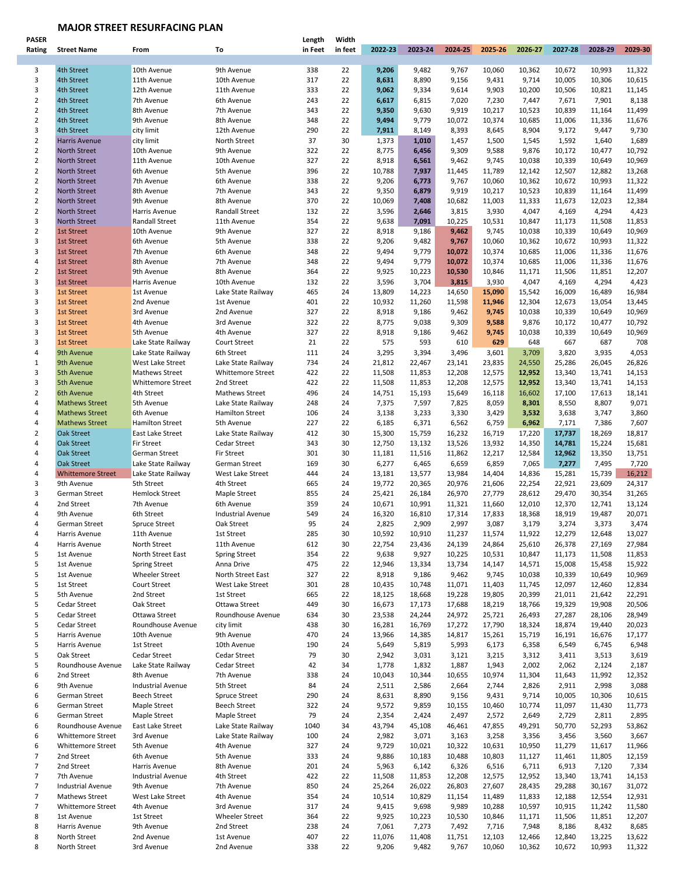## **MAJOR STREET RESURFACING PLAN**

| <b>PASER</b>   |                          |                          |                          | Length  | Width   |         |         |         |         |         |         |         |         |
|----------------|--------------------------|--------------------------|--------------------------|---------|---------|---------|---------|---------|---------|---------|---------|---------|---------|
| Rating         | <b>Street Name</b>       | From                     | To                       | in Feet | in feet | 2022-23 | 2023-24 | 2024-25 | 2025-26 | 2026-27 | 2027-28 | 2028-29 | 2029-30 |
|                |                          |                          |                          |         |         |         |         |         |         |         |         |         |         |
| 3              | 4th Street               | 10th Avenue              | 9th Avenue               | 338     | 22      | 9,206   | 9,482   | 9,767   | 10,060  | 10,362  | 10,672  | 10,993  | 11,322  |
| 3              | 4th Street               | 11th Avenue              | 10th Avenue              | 317     | 22      | 8,631   | 8,890   | 9,156   | 9,431   | 9,714   | 10,005  | 10,306  | 10,615  |
| 3              | 4th Street               | 12th Avenue              | 11th Avenue              | 333     | 22      | 9,062   | 9,334   | 9,614   | 9,903   | 10,200  | 10,506  | 10,821  | 11,145  |
| $\overline{2}$ | 4th Street               | 7th Avenue               | 6th Avenue               | 243     | 22      | 6,617   | 6,815   | 7,020   | 7,230   | 7,447   | 7,671   | 7,901   | 8,138   |
| $\overline{2}$ | 4th Street               | 8th Avenue               | 7th Avenue               | 343     | 22      | 9,350   | 9,630   | 9,919   | 10,217  | 10,523  | 10,839  | 11,164  | 11,499  |
|                |                          |                          |                          |         |         |         |         |         |         |         |         |         |         |
| $\overline{2}$ | 4th Street               | 9th Avenue               | 8th Avenue               | 348     | 22      | 9,494   | 9,779   | 10,072  | 10,374  | 10,685  | 11,006  | 11,336  | 11,676  |
| 3              | 4th Street               | city limit               | 12th Avenue              | 290     | 22      | 7,911   | 8,149   | 8,393   | 8,645   | 8,904   | 9,172   | 9,447   | 9,730   |
| $\overline{2}$ | <b>Harris Avenue</b>     | city limit               | North Street             | 37      | 30      | 1,373   | 1,010   | 1,457   | 1,500   | 1,545   | 1,592   | 1,640   | 1,689   |
| $\overline{2}$ | <b>North Street</b>      | 10th Avenue              | 9th Avenue               | 322     | 22      | 8,775   | 6,456   | 9,309   | 9,588   | 9,876   | 10,172  | 10,477  | 10,792  |
| $\overline{2}$ | <b>North Street</b>      | 11th Avenue              | 10th Avenue              | 327     | 22      | 8,918   | 6,561   | 9,462   | 9,745   | 10,038  | 10,339  | 10,649  | 10,969  |
| $\overline{2}$ | <b>North Street</b>      | 6th Avenue               | 5th Avenue               | 396     | 22      | 10,788  | 7,937   | 11,445  | 11,789  | 12,142  | 12,507  | 12,882  | 13,268  |
| $\overline{2}$ | <b>North Street</b>      | 7th Avenue               | 6th Avenue               | 338     | 22      | 9,206   | 6,773   | 9,767   | 10,060  | 10,362  | 10,672  | 10,993  | 11,322  |
| $\overline{2}$ |                          |                          |                          |         | 22      |         |         |         |         |         |         |         |         |
|                | North Street             | 8th Avenue               | 7th Avenue               | 343     |         | 9,350   | 6,879   | 9,919   | 10,217  | 10,523  | 10,839  | 11,164  | 11,499  |
| $\overline{2}$ | North Street             | 9th Avenue               | 8th Avenue               | 370     | 22      | 10,069  | 7,408   | 10,682  | 11,003  | 11,333  | 11,673  | 12,023  | 12,384  |
| $\overline{2}$ | North Street             | Harris Avenue            | Randall Street           | 132     | 22      | 3,596   | 2,646   | 3,815   | 3,930   | 4,047   | 4,169   | 4,294   | 4,423   |
| 3              | North Street             | Randall Street           | 11th Avenue              | 354     | 22      | 9,638   | 7,091   | 10,225  | 10,531  | 10,847  | 11,173  | 11,508  | 11,853  |
| $\overline{2}$ | <b>1st Street</b>        | 10th Avenue              | 9th Avenue               | 327     | 22      | 8,918   | 9,186   | 9,462   | 9,745   | 10,038  | 10,339  | 10,649  | 10,969  |
| 3              | <b>1st Street</b>        | 6th Avenue               | 5th Avenue               | 338     | 22      | 9,206   | 9,482   | 9,767   | 10,060  | 10,362  | 10,672  | 10,993  | 11,322  |
| 3              | <b>1st Street</b>        | 7th Avenue               | 6th Avenue               | 348     | 22      | 9,494   | 9,779   | 10,072  | 10,374  | 10,685  | 11,006  | 11,336  | 11,676  |
| 4              | <b>1st Street</b>        | 8th Avenue               | 7th Avenue               | 348     | 22      | 9,494   | 9,779   | 10,072  | 10,374  | 10,685  | 11,006  | 11,336  | 11,676  |
| $\overline{2}$ |                          |                          |                          | 364     | 22      |         |         |         |         |         |         |         |         |
|                | 1st Street               | 9th Avenue               | 8th Avenue               |         |         | 9,925   | 10,223  | 10,530  | 10,846  | 11,171  | 11,506  | 11,851  | 12,207  |
| 3              | <b>1st Street</b>        | Harris Avenue            | 10th Avenue              | 132     | 22      | 3,596   | 3,704   | 3,815   | 3,930   | 4,047   | 4,169   | 4,294   | 4,423   |
| 3              | 1st Street               | 1st Avenue               | Lake State Railway       | 465     | 24      | 13,809  | 14,223  | 14,650  | 15,090  | 15,542  | 16,009  | 16,489  | 16,984  |
| 3              | <b>1st Street</b>        | 2nd Avenue               | 1st Avenue               | 401     | 22      | 10,932  | 11,260  | 11,598  | 11,946  | 12,304  | 12,673  | 13,054  | 13,445  |
| 3              | <b>1st Street</b>        | 3rd Avenue               | 2nd Avenue               | 327     | 22      | 8,918   | 9,186   | 9,462   | 9,745   | 10,038  | 10,339  | 10,649  | 10,969  |
| 3              | <b>1st Street</b>        | 4th Avenue               | 3rd Avenue               | 322     | 22      | 8,775   | 9,038   | 9,309   | 9,588   | 9,876   | 10,172  | 10,477  | 10,792  |
| 3              | <b>1st Street</b>        | 5th Avenue               | 4th Avenue               | 327     | 22      | 8,918   | 9,186   | 9,462   | 9,745   | 10,038  | 10,339  | 10,649  | 10,969  |
| 3              | <b>1st Street</b>        | Lake State Railway       | Court Street             | 21      | 22      | 575     | 593     | 610     | 629     | 648     | 667     | 687     | 708     |
| 4              | 9th Avenue               | Lake State Railway       | 6th Street               | 111     | 24      | 3,295   | 3,394   | 3,496   | 3,601   | 3,709   | 3,820   | 3,935   | 4,053   |
|                |                          |                          |                          |         |         |         |         |         |         |         |         |         |         |
| $\mathbf{1}$   | 9th Avenue               | West Lake Street         | Lake State Railway       | 734     | 24      | 21,812  | 22,467  | 23,141  | 23,835  | 24,550  | 25,286  | 26,045  | 26,826  |
| 3              | 5th Avenue               | <b>Mathews Street</b>    | <b>Whittemore Street</b> | 422     | 22      | 11,508  | 11,853  | 12,208  | 12,575  | 12,952  | 13,340  | 13,741  | 14,153  |
| 3              | 5th Avenue               | Whittemore Street        | 2nd Street               | 422     | 22      | 11,508  | 11,853  | 12,208  | 12,575  | 12,952  | 13,340  | 13,741  | 14,153  |
| $\overline{2}$ | 6th Avenue               | 4th Street               | <b>Mathews Street</b>    | 496     | 24      | 14,751  | 15,193  | 15,649  | 16,118  | 16,602  | 17,100  | 17,613  | 18,141  |
| $\sqrt{4}$     | <b>Mathews Street</b>    | 5th Avenue               | Lake State Railway       | 248     | 24      | 7,375   | 7,597   | 7,825   | 8,059   | 8,301   | 8,550   | 8,807   | 9,071   |
| 4              | <b>Mathews Street</b>    | 6th Avenue               | <b>Hamilton Street</b>   | 106     | 24      | 3,138   | 3,233   | 3,330   | 3,429   | 3,532   | 3,638   | 3,747   | 3,860   |
| 4              | <b>Mathews Street</b>    | <b>Hamilton Street</b>   | 5th Avenue               | 227     | 22      | 6,185   | 6,371   | 6,562   | 6,759   | 6,962   | 7,171   | 7,386   | 7,607   |
| $\overline{2}$ | Oak Street               | East Lake Street         | Lake State Railway       | 412     | 30      | 15,300  | 15,759  | 16,232  | 16,719  | 17,220  | 17,737  | 18,269  | 18,817  |
|                |                          |                          |                          |         |         |         |         |         |         |         |         |         |         |
| 4              | Oak Street               | <b>Fir Street</b>        | Cedar Street             | 343     | 30      | 12,750  | 13,132  | 13,526  | 13,932  | 14,350  | 14,781  | 15,224  | 15,681  |
| 4              | Oak Street               | German Street            | <b>Fir Street</b>        | 301     | 30      | 11,181  | 11,516  | 11,862  | 12,217  | 12,584  | 12,962  | 13,350  | 13,751  |
| 4              | Oak Street               | Lake State Railway       | German Street            | 169     | 30      | 6,277   | 6,465   | 6,659   | 6,859   | 7,065   | 7,277   | 7,495   | 7,720   |
| 4              | <b>Whittemore Street</b> | Lake State Railway       | West Lake Street         | 444     | 24      | 13,181  | 13,577  | 13,984  | 14,404  | 14,836  | 15,281  | 15,739  | 16,212  |
| 3              | 9th Avenue               | 5th Street               | 4th Street               | 665     | 24      | 19,772  | 20,365  | 20,976  | 21,606  | 22,254  | 22,921  | 23,609  | 24,317  |
| 3              | German Street            | <b>Hemlock Street</b>    | Maple Street             | 855     | 24      | 25,421  | 26,184  | 26,970  | 27,779  | 28,612  | 29,470  | 30,354  | 31,265  |
| 4              | 2nd Street               | 7th Avenue               | 6th Avenue               | 359     | 24      | 10,671  | 10,991  | 11,321  | 11,660  | 12,010  | 12,370  | 12,741  | 13,124  |
| 4              | 9th Avenue               | 6th Street               | <b>Industrial Avenue</b> | 549     | 24      | 16,320  | 16,810  | 17,314  | 17,833  | 18,368  | 18,919  | 19,487  | 20,071  |
| 4              | German Street            | Spruce Street            | Oak Street               | 95      | 24      | 2,825   | 2,909   | 2,997   | 3,087   | 3,179   | 3,274   | 3,373   | 3,474   |
|                | Harris Avenue            |                          | 1st Street               | 285     | 30      | 10,592  | 10,910  | 11,237  | 11,574  | 11,922  | 12,279  | 12,648  | 13,027  |
|                |                          | 11th Avenue              |                          |         |         |         |         |         |         |         |         |         |         |
| 4              | Harris Avenue            | North Street             | 11th Avenue              | 612     | 30      | 22,754  | 23,436  | 24,139  | 24,864  | 25,610  | 26,378  | 27,169  | 27,984  |
| 5              | 1st Avenue               | North Street East        | <b>Spring Street</b>     | 354     | 22      | 9,638   | 9,927   | 10,225  | 10,531  | 10,847  | 11,173  | 11,508  | 11,853  |
| 5              | 1st Avenue               | <b>Spring Street</b>     | Anna Drive               | 475     | 22      | 12,946  | 13,334  | 13,734  | 14,147  | 14,571  | 15,008  | 15,458  | 15,922  |
| 5              | 1st Avenue               | Wheeler Street           | North Street East        | 327     | 22      | 8,918   | 9,186   | 9,462   | 9,745   | 10,038  | 10,339  | 10,649  | 10,969  |
| 5              | 1st Street               | Court Street             | West Lake Street         | 301     | 28      | 10,435  | 10,748  | 11,071  | 11,403  | 11,745  | 12,097  | 12,460  | 12,834  |
| 5              | 5th Avenue               | 2nd Street               | 1st Street               | 665     | 22      | 18,125  | 18,668  | 19,228  | 19,805  | 20,399  | 21,011  | 21,642  | 22,291  |
| 5              | Cedar Street             | Oak Street               | Ottawa Street            | 449     | 30      | 16,673  | 17,173  | 17,688  | 18,219  | 18,766  | 19,329  | 19,908  | 20,506  |
| 5              | Cedar Street             | Ottawa Street            | Roundhouse Avenue        | 634     | 30      | 23,538  | 24,244  | 24,972  | 25,721  | 26,493  | 27,287  | 28,106  | 28,949  |
| 5              | Cedar Street             | Roundhouse Avenue        | city limit               | 438     | 30      | 16,281  | 16,769  | 17,272  | 17,790  | 18,324  | 18,874  | 19,440  | 20,023  |
| 5              | Harris Avenue            |                          |                          | 470     |         | 13,966  |         |         |         |         |         |         |         |
|                |                          | 10th Avenue              | 9th Avenue               |         | 24      |         | 14,385  | 14,817  | 15,261  | 15,719  | 16,191  | 16,676  | 17,177  |
| 5              | Harris Avenue            | 1st Street               | 10th Avenue              | 190     | 24      | 5,649   | 5,819   | 5,993   | 6,173   | 6,358   | 6,549   | 6,745   | 6,948   |
| 5              | Oak Street               | Cedar Street             | Cedar Street             | 79      | 30      | 2,942   | 3,031   | 3,121   | 3,215   | 3,312   | 3,411   | 3,513   | 3,619   |
| 5              | Roundhouse Avenue        | Lake State Railway       | Cedar Street             | 42      | 34      | 1,778   | 1,832   | 1,887   | 1,943   | 2,002   | 2,062   | 2,124   | 2,187   |
| 6              | 2nd Street               | 8th Avenue               | 7th Avenue               | 338     | 24      | 10,043  | 10,344  | 10,655  | 10,974  | 11,304  | 11,643  | 11,992  | 12,352  |
| 6              | 9th Avenue               | Industrial Avenue        | 5th Street               | 84      | 24      | 2,511   | 2,586   | 2,664   | 2,744   | 2,826   | 2,911   | 2,998   | 3,088   |
| 6              | German Street            | <b>Beech Street</b>      | Spruce Street            | 290     | 24      | 8,631   | 8,890   | 9,156   | 9,431   | 9,714   | 10,005  | 10,306  | 10,615  |
| 6              | German Street            | Maple Street             | <b>Beech Street</b>      | 322     | 24      | 9,572   | 9,859   | 10,155  | 10,460  | 10,774  | 11,097  | 11,430  | 11,773  |
| 6              | German Street            | Maple Street             | Maple Street             | 79      | 24      | 2,354   | 2,424   | 2,497   | 2,572   | 2,649   | 2,729   | 2,811   | 2,895   |
|                |                          |                          |                          |         |         |         |         |         |         |         |         |         |         |
| 6              | Roundhouse Avenue        | East Lake Street         | Lake State Railway       | 1040    | 34      | 43,794  | 45,108  | 46,461  | 47,855  | 49,291  | 50,770  | 52,293  | 53,862  |
| 6              | <b>Whittemore Street</b> | 3rd Avenue               | Lake State Railway       | 100     | 24      | 2,982   | 3,071   | 3,163   | 3,258   | 3,356   | 3,456   | 3,560   | 3,667   |
| 6              | Whittemore Street        | 5th Avenue               | 4th Avenue               | 327     | 24      | 9,729   | 10,021  | 10,322  | 10,631  | 10,950  | 11,279  | 11,617  | 11,966  |
| $\overline{7}$ | 2nd Street               | 6th Avenue               | 5th Avenue               | 333     | 24      | 9,886   | 10,183  | 10,488  | 10,803  | 11,127  | 11,461  | 11,805  | 12,159  |
| $\overline{7}$ | 2nd Street               | Harris Avenue            | 8th Avenue               | 201     | 24      | 5,963   | 6,142   | 6,326   | 6,516   | 6,711   | 6,913   | 7,120   | 7,334   |
| $\overline{7}$ | 7th Avenue               | <b>Industrial Avenue</b> | 4th Street               | 422     | 22      | 11,508  | 11,853  | 12,208  | 12,575  | 12,952  | 13,340  | 13,741  | 14,153  |
| $\overline{7}$ | <b>Industrial Avenue</b> | 9th Avenue               | 7th Avenue               | 850     | 24      | 25,264  | 26,022  | 26,803  | 27,607  | 28,435  | 29,288  | 30,167  | 31,072  |
| $\overline{7}$ | Mathews Street           | West Lake Street         | 4th Avenue               | 354     | 24      | 10,514  | 10,829  | 11,154  | 11,489  | 11,833  | 12,188  | 12,554  | 12,931  |
| $\overline{7}$ |                          |                          |                          |         |         |         |         |         |         |         |         |         |         |
|                | <b>Whittemore Street</b> | 4th Avenue               | 3rd Avenue               | 317     | 24      | 9,415   | 9,698   | 9,989   | 10,288  | 10,597  | 10,915  | 11,242  | 11,580  |
| 8              | 1st Avenue               | 1st Street               | Wheeler Street           | 364     | 22      | 9,925   | 10,223  | 10,530  | 10,846  | 11,171  | 11,506  | 11,851  | 12,207  |
| 8              | Harris Avenue            | 9th Avenue               | 2nd Street               | 238     | 24      | 7,061   | 7,273   | 7,492   | 7,716   | 7,948   | 8,186   | 8,432   | 8,685   |
| 8              | North Street             | 2nd Avenue               | 1st Avenue               | 407     | 22      | 11,076  | 11,408  | 11,751  | 12,103  | 12,466  | 12,840  | 13,225  | 13,622  |
| 8              | North Street             | 3rd Avenue               | 2nd Avenue               | 338     | 22      | 9,206   | 9,482   | 9,767   | 10,060  | 10,362  | 10,672  | 10,993  | 11,322  |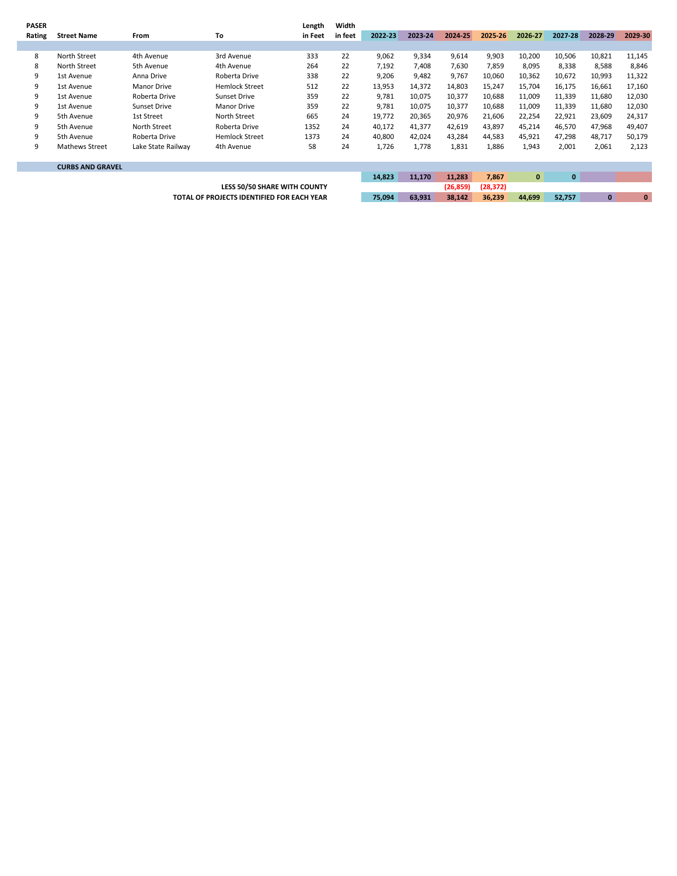| <b>PASER</b> |                         |                    |                                            | Length  | Width   |           |           |         |         |          |              |              |          |
|--------------|-------------------------|--------------------|--------------------------------------------|---------|---------|-----------|-----------|---------|---------|----------|--------------|--------------|----------|
| Rating       | <b>Street Name</b>      | From               | To                                         | in Feet | in feet | 2022-23   | 2023-24   | 2024-25 | 2025-26 | 2026-27  | 2027-28      | 2028-29      | 2029-30  |
|              |                         |                    |                                            |         |         |           |           |         |         |          |              |              |          |
| 8            | North Street            | 4th Avenue         | 3rd Avenue                                 | 333     | 22      | 9,062     | 9,334     | 9,614   | 9,903   | 10,200   | 10,506       | 10,821       | 11,145   |
| 8            | North Street            | 5th Avenue         | 4th Avenue                                 | 264     | 22      | 7,192     | 7,408     | 7,630   | 7,859   | 8,095    | 8,338        | 8,588        | 8,846    |
| 9            | 1st Avenue              | Anna Drive         | Roberta Drive                              | 338     | 22      | 9,206     | 9,482     | 9,767   | 10,060  | 10,362   | 10,672       | 10,993       | 11,322   |
| 9            | 1st Avenue              | <b>Manor Drive</b> | <b>Hemlock Street</b>                      | 512     | 22      | 13,953    | 14,372    | 14,803  | 15,247  | 15,704   | 16,175       | 16,661       | 17,160   |
| 9            | 1st Avenue              | Roberta Drive      | <b>Sunset Drive</b>                        | 359     | 22      | 9,781     | 10,075    | 10,377  | 10,688  | 11,009   | 11,339       | 11,680       | 12,030   |
| 9            | 1st Avenue              | Sunset Drive       | Manor Drive                                | 359     | 22      | 9,781     | 10,075    | 10,377  | 10,688  | 11,009   | 11,339       | 11,680       | 12,030   |
| 9            | 5th Avenue              | 1st Street         | North Street                               | 665     | 24      | 19,772    | 20,365    | 20,976  | 21,606  | 22,254   | 22,921       | 23,609       | 24,317   |
| 9            | 5th Avenue              | North Street       | Roberta Drive                              | 1352    | 24      | 40,172    | 41,377    | 42,619  | 43,897  | 45,214   | 46,570       | 47,968       | 49,407   |
| 9            | 5th Avenue              | Roberta Drive      | <b>Hemlock Street</b>                      | 1373    | 24      | 40,800    | 42,024    | 43,284  | 44,583  | 45,921   | 47,298       | 48,717       | 50,179   |
| 9            | <b>Mathews Street</b>   | Lake State Railway | 4th Avenue                                 | 58      | 24      | 1,726     | 1,778     | 1,831   | 1,886   | 1,943    | 2,001        | 2,061        | 2,123    |
|              |                         |                    |                                            |         |         |           |           |         |         |          |              |              |          |
|              | <b>CURBS AND GRAVEL</b> |                    |                                            |         |         |           |           |         |         |          |              |              |          |
|              |                         |                    |                                            |         |         | 14,823    | 11,170    | 11,283  | 7,867   | $\bf{0}$ | $\mathbf{0}$ |              |          |
|              |                         |                    |                                            |         |         | (26, 859) | (28, 372) |         |         |          |              |              |          |
|              |                         |                    | TOTAL OF PROJECTS IDENTIFIED FOR EACH YEAR |         |         | 75,094    | 63,931    | 38,142  | 36,239  | 44,699   | 52,757       | $\mathbf{0}$ | $\bf{0}$ |
|              |                         |                    |                                            |         |         |           |           |         |         |          |              |              |          |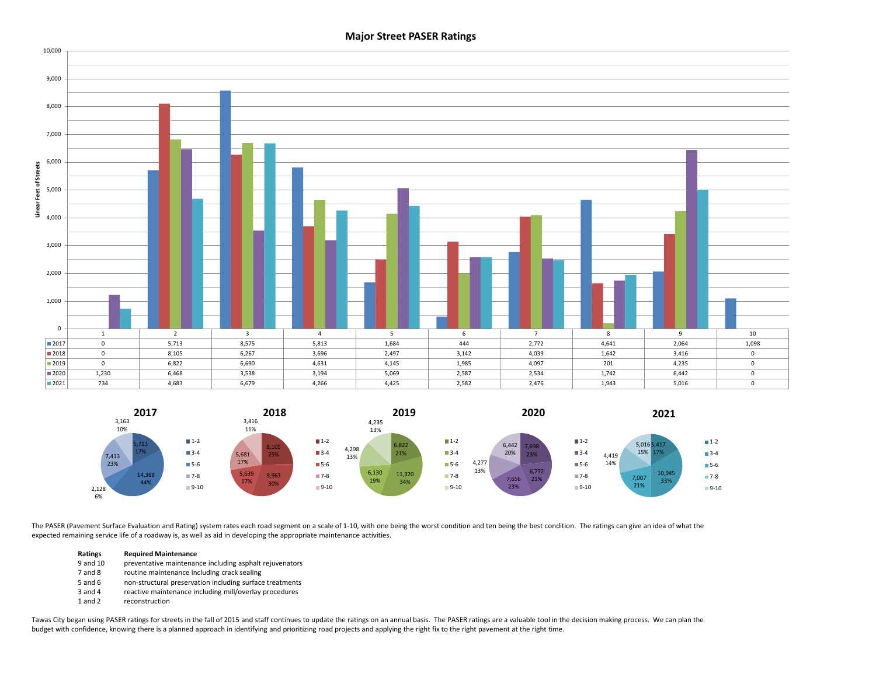### **Major Street PASER Ratings**





The PASER (Pavement Surface Evaluation and Rating) system rates each road segment on a scale of 1-10, with one being the worst condition and ten being the best condition. The ratings can give an idea of what the expected remaining service life of a roadway is, as well as aid in developing the appropriate maintenance activities.

#### **Ratings Required Maintenance**

- 9 and 10 preventative maintenance including asphalt rejuvenators
- 7 and 8 routine maintenance including crack sealing
- 5 and 6 non-structural preservation including surface treatments
- 3 and 4 reactive maintenance including mill/overlay procedures
- 1 and 2 reconstruction

Tawas City began using PASER ratings for streets in the fall of 2015 and staff continues to update the ratings on an annual basis. The PASER ratings are a valuable tool in the decision making process. We can plan the budget with confidence, knowing there is a planned approach in identifying and prioritizing road projects and applying the right fix to the right pavement at the right time.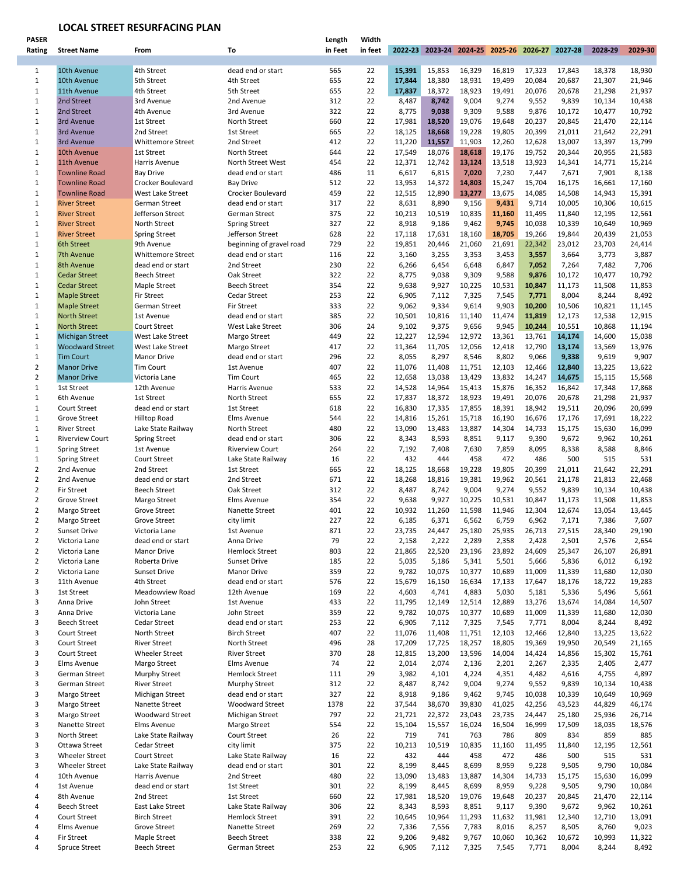# **LOCAL STREET RESURFACING PLAN**

| <b>PASER</b>   |                        |                          |                          | Length  | Width   |        |        |                                                 |        |        |        |         |         |
|----------------|------------------------|--------------------------|--------------------------|---------|---------|--------|--------|-------------------------------------------------|--------|--------|--------|---------|---------|
| Rating         | <b>Street Name</b>     | From                     | To                       | in Feet | in feet |        |        | 2022-23 2023-24 2024-25 2025-26 2026-27 2027-28 |        |        |        | 2028-29 | 2029-30 |
|                |                        |                          |                          |         |         |        |        |                                                 |        |        |        |         |         |
|                |                        |                          |                          |         |         |        |        |                                                 |        |        |        |         |         |
| 1              | 10th Avenue            | 4th Street               | dead end or start        | 565     | 22      | 15,391 | 15,853 | 16,329                                          | 16,819 | 17,323 | 17,843 | 18,378  | 18,930  |
| $\mathbf{1}$   | 10th Avenue            | 5th Street               | 4th Street               | 655     | 22      | 17,844 | 18,380 | 18,931                                          | 19,499 | 20,084 | 20,687 | 21,307  | 21,946  |
| $\mathbf{1}$   | 11th Avenue            | 4th Street               | 5th Street               | 655     | 22      | 17,837 | 18,372 | 18,923                                          | 19,491 | 20,076 | 20,678 | 21,298  | 21,937  |
| $\mathbf{1}$   | 2nd Street             | 3rd Avenue               | 2nd Avenue               | 312     | 22      | 8,487  | 8,742  | 9,004                                           | 9,274  | 9,552  | 9,839  | 10,134  | 10,438  |
| $\mathbf{1}$   | 2nd Street             | 4th Avenue               | 3rd Avenue               | 322     | 22      | 8,775  | 9,038  | 9,309                                           | 9,588  | 9,876  | 10,172 | 10,477  | 10,792  |
| $\mathbf{1}$   |                        |                          |                          | 660     | 22      |        |        |                                                 |        |        |        |         |         |
|                | 3rd Avenue             | 1st Street               | North Street             |         |         | 17,981 | 18,520 | 19,076                                          | 19,648 | 20,237 | 20,845 | 21,470  | 22,114  |
| $\mathbf{1}$   | 3rd Avenue             | 2nd Street               | 1st Street               | 665     | 22      | 18,125 | 18,668 | 19,228                                          | 19,805 | 20,399 | 21,011 | 21,642  | 22,291  |
| 1              | 3rd Avenue             | Whittemore Street        | 2nd Street               | 412     | 22      | 11,220 | 11,557 | 11,903                                          | 12,260 | 12,628 | 13,007 | 13,397  | 13,799  |
| $\mathbf{1}$   | 10th Avenue            | 1st Street               | North Street             | 644     | 22      | 17,549 | 18,076 | 18,618                                          | 19,176 | 19,752 | 20,344 | 20,955  | 21,583  |
| $\mathbf{1}$   | 11th Avenue            | <b>Harris Avenue</b>     | North Street West        | 454     | 22      | 12,371 | 12,742 | 13,124                                          | 13,518 | 13,923 | 14,341 | 14,771  | 15,214  |
|                |                        |                          |                          |         |         |        |        |                                                 |        |        |        |         |         |
| $\mathbf{1}$   | <b>Townline Road</b>   | <b>Bay Drive</b>         | dead end or start        | 486     | 11      | 6,617  | 6,815  | 7,020                                           | 7,230  | 7,447  | 7,671  | 7,901   | 8,138   |
| $\mathbf{1}$   | <b>Townline Road</b>   | Crocker Boulevard        | <b>Bay Drive</b>         | 512     | 22      | 13,953 | 14,372 | 14,803                                          | 15,247 | 15,704 | 16,175 | 16,661  | 17,160  |
| $\mathbf{1}$   | <b>Townline Road</b>   | West Lake Street         | Crocker Boulevard        | 459     | 22      | 12,515 | 12,890 | 13,277                                          | 13,675 | 14,085 | 14,508 | 14,943  | 15,391  |
| $\mathbf{1}$   | <b>River Street</b>    | German Street            | dead end or start        | 317     | 22      | 8,631  | 8,890  | 9,156                                           | 9,431  | 9,714  | 10,005 | 10,306  | 10,615  |
| $\mathbf{1}$   | <b>River Street</b>    | Jefferson Street         | German Street            | 375     | 22      | 10,213 | 10,519 | 10,835                                          | 11,160 | 11,495 | 11,840 | 12,195  | 12,561  |
| $\mathbf{1}$   | <b>River Street</b>    | North Street             | <b>Spring Street</b>     | 327     | 22      | 8,918  | 9,186  | 9,462                                           | 9,745  | 10,038 | 10,339 | 10,649  | 10,969  |
|                |                        |                          |                          |         |         |        |        |                                                 |        |        |        |         |         |
| $\mathbf{1}$   | <b>River Street</b>    | <b>Spring Street</b>     | Jefferson Street         | 628     | 22      | 17,118 | 17,631 | 18,160                                          | 18,705 | 19,266 | 19,844 | 20,439  | 21,053  |
| $\mathbf{1}$   | 6th Street             | 9th Avenue               | beginning of gravel road | 729     | 22      | 19,851 | 20,446 | 21,060                                          | 21,691 | 22,342 | 23,012 | 23,703  | 24,414  |
| $\mathbf{1}$   | 7th Avenue             | <b>Whittemore Street</b> | dead end or start        | 116     | 22      | 3,160  | 3,255  | 3,353                                           | 3,453  | 3,557  | 3,664  | 3,773   | 3,887   |
| $\mathbf{1}$   | 8th Avenue             | dead end or start        | 2nd Street               | 230     | 22      | 6,266  | 6,454  | 6,648                                           | 6,847  | 7,052  | 7,264  | 7,482   | 7,706   |
| $\mathbf{1}$   | <b>Cedar Street</b>    | <b>Beech Street</b>      | Oak Street               | 322     | 22      | 8,775  |        | 9,309                                           | 9,588  | 9,876  |        | 10,477  | 10,792  |
|                |                        |                          |                          |         |         |        | 9,038  |                                                 |        |        | 10,172 |         |         |
| $\mathbf{1}$   | <b>Cedar Street</b>    | Maple Street             | <b>Beech Street</b>      | 354     | 22      | 9,638  | 9,927  | 10,225                                          | 10,531 | 10,847 | 11,173 | 11,508  | 11,853  |
| $\mathbf{1}$   | <b>Maple Street</b>    | <b>Fir Street</b>        | Cedar Street             | 253     | 22      | 6,905  | 7,112  | 7,325                                           | 7,545  | 7,771  | 8,004  | 8,244   | 8,492   |
| $\mathbf{1}$   | <b>Maple Street</b>    | German Street            | <b>Fir Street</b>        | 333     | 22      | 9,062  | 9,334  | 9,614                                           | 9,903  | 10,200 | 10,506 | 10,821  | 11,145  |
| $\mathbf{1}$   | <b>North Street</b>    | 1st Avenue               | dead end or start        | 385     | 22      | 10,501 | 10,816 | 11,140                                          | 11,474 | 11,819 | 12,173 | 12,538  | 12,915  |
| $\mathbf{1}$   | <b>North Street</b>    | Court Street             | West Lake Street         | 306     | 24      | 9,102  | 9,375  | 9,656                                           | 9,945  | 10,244 | 10,551 | 10,868  | 11,194  |
|                |                        |                          |                          |         |         |        |        |                                                 |        |        |        |         |         |
| 1              | <b>Michigan Street</b> | West Lake Street         | Margo Street             | 449     | 22      | 12,227 | 12,594 | 12,972                                          | 13,361 | 13,761 | 14,174 | 14,600  | 15,038  |
| $\mathbf{1}$   | <b>Woodward Street</b> | West Lake Street         | Margo Street             | 417     | 22      | 11,364 | 11,705 | 12,056                                          | 12,418 | 12,790 | 13,174 | 13,569  | 13,976  |
| $\mathbf{1}$   | <b>Tim Court</b>       | <b>Manor Drive</b>       | dead end or start        | 296     | 22      | 8,055  | 8,297  | 8,546                                           | 8,802  | 9,066  | 9,338  | 9,619   | 9,907   |
| $\overline{2}$ | <b>Manor Drive</b>     | <b>Tim Court</b>         | 1st Avenue               | 407     | 22      | 11,076 | 11,408 | 11,751                                          | 12,103 | 12,466 | 12,840 | 13,225  | 13,622  |
| $\overline{2}$ | <b>Manor Drive</b>     | Victoria Lane            | <b>Tim Court</b>         | 465     | 22      | 12,658 | 13,038 | 13,429                                          | 13,832 | 14,247 | 14,675 | 15,115  | 15,568  |
|                |                        |                          |                          |         |         |        |        |                                                 |        |        |        |         |         |
| $\mathbf{1}$   | 1st Street             | 12th Avenue              | Harris Avenue            | 533     | 22      | 14,528 | 14,964 | 15,413                                          | 15,876 | 16,352 | 16,842 | 17,348  | 17,868  |
| 1              | 6th Avenue             | 1st Street               | North Street             | 655     | 22      | 17,837 | 18,372 | 18,923                                          | 19,491 | 20,076 | 20,678 | 21,298  | 21,937  |
| $\mathbf{1}$   | Court Street           | dead end or start        | 1st Street               | 618     | 22      | 16,830 | 17,335 | 17,855                                          | 18,391 | 18,942 | 19,511 | 20,096  | 20,699  |
| $\mathbf{1}$   | <b>Grove Street</b>    | <b>Hilltop Road</b>      | Elms Avenue              | 544     | 22      | 14,816 | 15,261 | 15,718                                          | 16,190 | 16,676 | 17,176 | 17,691  | 18,222  |
| $\mathbf{1}$   | <b>River Street</b>    | Lake State Railway       | North Street             | 480     | 22      | 13,090 | 13,483 | 13,887                                          | 14,304 | 14,733 | 15,175 | 15,630  | 16,099  |
| 1              | <b>Riverview Court</b> | <b>Spring Street</b>     | dead end or start        | 306     | 22      | 8,343  | 8,593  | 8,851                                           | 9,117  | 9,390  | 9,672  | 9,962   | 10,261  |
|                |                        |                          |                          |         |         |        |        |                                                 |        |        |        |         |         |
| 1              | <b>Spring Street</b>   | 1st Avenue               | <b>Riverview Court</b>   | 264     | 22      | 7,192  | 7,408  | 7,630                                           | 7,859  | 8,095  | 8,338  | 8,588   | 8,846   |
| 1              | <b>Spring Street</b>   | Court Street             | Lake State Railway       | 16      | 22      | 432    | 444    | 458                                             | 472    | 486    | 500    | 515     | 531     |
| $\overline{2}$ | 2nd Avenue             | 2nd Street               | 1st Street               | 665     | 22      | 18,125 | 18,668 | 19,228                                          | 19,805 | 20,399 | 21,011 | 21,642  | 22,291  |
| $\overline{2}$ | 2nd Avenue             | dead end or start        | 2nd Street               | 671     | 22      | 18,268 | 18,816 | 19,381                                          | 19,962 | 20,561 | 21,178 | 21,813  | 22,468  |
| $\overline{2}$ | <b>Fir Street</b>      | <b>Beech Street</b>      | Oak Street               | 312     | 22      | 8,487  | 8,742  | 9,004                                           | 9,274  | 9,552  | 9,839  | 10,134  | 10,438  |
|                |                        |                          |                          |         |         |        |        |                                                 |        |        |        |         |         |
| $\overline{2}$ | Grove Street           | Margo Street             | Elms Avenue              | 354     | 22      | 9,638  | 9,927  | 10,225                                          | 10,531 | 10,847 | 11,173 | 11,508  | 11,853  |
| $\overline{2}$ | Margo Street           | Grove Street             | Nanette Street           | 401     | 22      | 10,932 | 11,260 | 11,598                                          | 11,946 | 12,304 | 12,674 | 13,054  | 13,445  |
| $\overline{2}$ | Margo Street           | Grove Street             | city limit               | 227     | 22      | 6,185  | 6,371  | 6,562                                           | 6,759  | 6,962  | 7,171  | 7,386   | 7,607   |
| $\overline{2}$ | <b>Sunset Drive</b>    | Victoria Lane            | 1st Avenue               | 871     | 22      | 23,735 | 24,447 | 25,180                                          | 25,935 | 26,713 | 27,515 | 28,340  | 29,190  |
| $\overline{2}$ | Victoria Lane          | dead end or start        | Anna Drive               | 79      | 22      | 2,158  | 2,222  | 2,289                                           | 2,358  | 2,428  | 2,501  | 2,576   | 2,654   |
| 2              | Victoria Lane          | Manor Drive              | <b>Hemlock Street</b>    | 803     | 22      | 21,865 | 22,520 | 23,196                                          | 23,892 | 24,609 | 25,347 | 26,107  | 26,891  |
|                |                        |                          |                          |         |         |        |        |                                                 |        |        |        |         |         |
| $\overline{2}$ | Victoria Lane          | Roberta Drive            | Sunset Drive             | 185     | 22      | 5,035  | 5,186  | 5,341                                           | 5,501  | 5,666  | 5,836  | 6,012   | 6,192   |
| 2              | Victoria Lane          | <b>Sunset Drive</b>      | Manor Drive              | 359     | 22      | 9,782  | 10,075 | 10,377                                          | 10,689 | 11,009 | 11,339 | 11,680  | 12,030  |
| 3              | 11th Avenue            | 4th Street               | dead end or start        | 576     | 22      | 15,679 | 16,150 | 16,634                                          | 17,133 | 17,647 | 18,176 | 18,722  | 19,283  |
| 3              | 1st Street             | Meadowview Road          | 12th Avenue              | 169     | 22      | 4,603  | 4,741  | 4,883                                           | 5,030  | 5,181  | 5,336  | 5,496   | 5,661   |
| 3              | Anna Drive             | John Street              | 1st Avenue               | 433     | 22      | 11,795 | 12,149 | 12,514                                          | 12,889 | 13,276 | 13,674 | 14,084  | 14,507  |
| 3              | Anna Drive             | Victoria Lane            | John Street              | 359     | 22      | 9,782  | 10,075 | 10,377                                          | 10,689 | 11,009 | 11,339 | 11,680  | 12,030  |
| 3              |                        |                          |                          |         |         |        |        |                                                 |        |        |        |         |         |
|                | <b>Beech Street</b>    | Cedar Street             | dead end or start        | 253     | 22      | 6,905  | 7,112  | 7,325                                           | 7,545  | 7,771  | 8,004  | 8,244   | 8,492   |
| 3              | Court Street           | North Street             | <b>Birch Street</b>      | 407     | 22      | 11,076 | 11,408 | 11,751                                          | 12,103 | 12,466 | 12,840 | 13,225  | 13,622  |
| 3              | <b>Court Street</b>    | <b>River Street</b>      | North Street             | 496     | 28      | 17,209 | 17,725 | 18,257                                          | 18,805 | 19,369 | 19,950 | 20,549  | 21,165  |
| 3              | <b>Court Street</b>    | Wheeler Street           | <b>River Street</b>      | 370     | 28      | 12,815 | 13,200 | 13,596                                          | 14,004 | 14,424 | 14,856 | 15,302  | 15,761  |
| 3              | Elms Avenue            | Margo Street             | Elms Avenue              | 74      | 22      | 2,014  | 2,074  | 2,136                                           | 2,201  | 2,267  | 2,335  | 2,405   | 2,477   |
| 3              | German Street          | Murphy Street            | <b>Hemlock Street</b>    | 111     | 29      | 3,982  | 4,101  | 4,224                                           | 4,351  | 4,482  | 4,616  | 4,755   | 4,897   |
|                |                        |                          |                          |         |         |        |        |                                                 |        |        |        |         |         |
| 3              | German Street          | <b>River Street</b>      | Murphy Street            | 312     | 22      | 8,487  | 8,742  | 9,004                                           | 9,274  | 9,552  | 9,839  | 10,134  | 10,438  |
| 3              | Margo Street           | Michigan Street          | dead end or start        | 327     | 22      | 8,918  | 9,186  | 9,462                                           | 9,745  | 10,038 | 10,339 | 10,649  | 10,969  |
| 3              | Margo Street           | Nanette Street           | <b>Woodward Street</b>   | 1378    | 22      | 37,544 | 38,670 | 39,830                                          | 41,025 | 42,256 | 43,523 | 44,829  | 46,174  |
| 3              | Margo Street           | <b>Woodward Street</b>   | Michigan Street          | 797     | 22      | 21,721 | 22,372 | 23,043                                          | 23,735 | 24,447 | 25,180 | 25,936  | 26,714  |
| 3              | Nanette Street         | Elms Avenue              | Margo Street             | 554     | 22      | 15,104 | 15,557 | 16,024                                          | 16,504 | 16,999 | 17,509 | 18,035  | 18,576  |
| 3              | North Street           | Lake State Railway       | Court Street             | 26      | 22      | 719    | 741    | 763                                             | 786    | 809    | 834    | 859     | 885     |
|                |                        |                          |                          |         |         |        |        |                                                 |        |        |        |         |         |
| 3              | Ottawa Street          | Cedar Street             | city limit               | 375     | 22      | 10,213 | 10,519 | 10,835                                          | 11,160 | 11,495 | 11,840 | 12,195  | 12,561  |
| 3              | <b>Wheeler Street</b>  | Court Street             | Lake State Railway       | 16      | 22      | 432    | 444    | 458                                             | 472    | 486    | 500    | 515     | 531     |
| 3              | Wheeler Street         | Lake State Railway       | dead end or start        | 301     | 22      | 8,199  | 8,445  | 8,699                                           | 8,959  | 9,228  | 9,505  | 9,790   | 10,084  |
| 4              | 10th Avenue            | Harris Avenue            | 2nd Street               | 480     | 22      | 13,090 | 13,483 | 13,887                                          | 14,304 | 14,733 | 15,175 | 15,630  | 16,099  |
| 4              | 1st Avenue             | dead end or start        | 1st Street               | 301     | 22      | 8,199  | 8,445  | 8,699                                           | 8,959  | 9,228  | 9,505  | 9,790   | 10,084  |
| 4              | 8th Avenue             | 2nd Street               | 1st Street               | 660     | 22      | 17,981 | 18,520 | 19,076                                          | 19,648 | 20,237 | 20,845 | 21,470  | 22,114  |
|                |                        |                          |                          |         |         |        |        |                                                 |        |        |        |         |         |
| 4              | <b>Beech Street</b>    | East Lake Street         | Lake State Railway       | 306     | 22      | 8,343  | 8,593  | 8,851                                           | 9,117  | 9,390  | 9,672  | 9,962   | 10,261  |
| 4              | <b>Court Street</b>    | <b>Birch Street</b>      | <b>Hemlock Street</b>    | 391     | 22      | 10,645 | 10,964 | 11,293                                          | 11,632 | 11,981 | 12,340 | 12,710  | 13,091  |
| 4              | Elms Avenue            | Grove Street             | Nanette Street           | 269     | 22      | 7,336  | 7,556  | 7,783                                           | 8,016  | 8,257  | 8,505  | 8,760   | 9,023   |
| 4              | <b>Fir Street</b>      | Maple Street             | <b>Beech Street</b>      | 338     | 22      | 9,206  | 9,482  | 9,767                                           | 10,060 | 10,362 | 10,672 | 10,993  | 11,322  |
| 4              | Spruce Street          | <b>Beech Street</b>      | German Street            | 253     | 22      | 6,905  | 7,112  | 7,325                                           | 7,545  | 7,771  | 8,004  | 8,244   | 8,492   |
|                |                        |                          |                          |         |         |        |        |                                                 |        |        |        |         |         |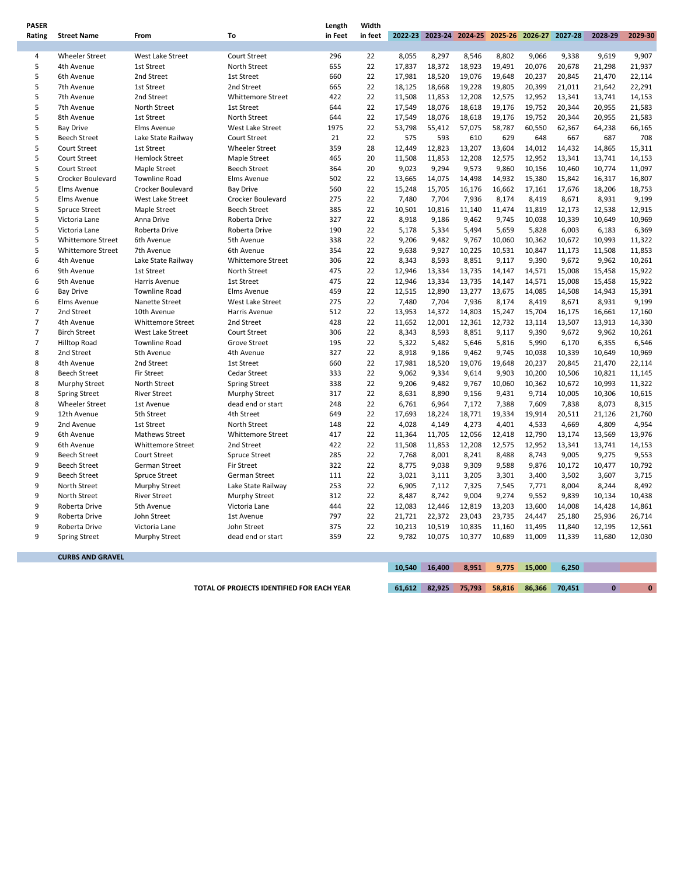| <b>PASER</b>   |                                            |                                  |                                         | Length      | Width    |                  |                |                                                 |                  |                 |                 |                  |                 |
|----------------|--------------------------------------------|----------------------------------|-----------------------------------------|-------------|----------|------------------|----------------|-------------------------------------------------|------------------|-----------------|-----------------|------------------|-----------------|
| Rating         | <b>Street Name</b>                         | From                             | To                                      | in Feet     | in feet  |                  |                | 2022-23 2023-24 2024-25 2025-26 2026-27 2027-28 |                  |                 |                 | 2028-29          | 2029-30         |
|                |                                            |                                  |                                         |             |          |                  |                |                                                 |                  |                 |                 |                  |                 |
| 4              | <b>Wheeler Street</b>                      | West Lake Street                 | Court Street                            | 296         | 22       | 8,055            | 8,297          | 8,546                                           | 8,802            | 9,066           | 9,338           | 9,619            | 9,907           |
| 5              | 4th Avenue                                 | 1st Street                       | North Street                            | 655         | 22       | 17,837           | 18,372         | 18,923                                          | 19,491           | 20,076          | 20,678          | 21,298           | 21,937          |
| 5              | 6th Avenue                                 | 2nd Street                       | 1st Street                              | 660         | 22       | 17,981           | 18,520         | 19,076                                          | 19,648           | 20,237          | 20,845          | 21,470           | 22,114          |
| 5              | 7th Avenue                                 | 1st Street                       | 2nd Street                              | 665         | 22       | 18,125           | 18,668         | 19,228                                          | 19,805           | 20,399          | 21,011          | 21,642           | 22,291          |
| 5              | 7th Avenue                                 | 2nd Street                       | Whittemore Street                       | 422         | 22       | 11,508           | 11,853         | 12,208                                          | 12,575           | 12,952          | 13,341          | 13,741           | 14,153          |
| 5<br>5         | 7th Avenue                                 | North Street                     | 1st Street                              | 644         | 22       | 17,549           | 18,076         | 18,618                                          | 19,176           | 19,752          | 20,344          | 20,955           | 21,583          |
| 5              | 8th Avenue                                 | 1st Street                       | North Street                            | 644<br>1975 | 22<br>22 | 17,549           | 18,076         | 18,618                                          | 19,176           | 19,752          | 20,344          | 20,955           | 21,583          |
| 5              | <b>Bay Drive</b><br><b>Beech Street</b>    | Elms Avenue                      | West Lake Street<br><b>Court Street</b> | 21          | 22       | 53,798<br>575    | 55,412<br>593  | 57,075<br>610                                   | 58,787<br>629    | 60,550<br>648   | 62,367<br>667   | 64,238<br>687    | 66,165<br>708   |
| 5              | Court Street                               | Lake State Railway<br>1st Street | <b>Wheeler Street</b>                   | 359         | 28       |                  | 12,823         | 13,207                                          |                  | 14,012          | 14,432          | 14,865           | 15,311          |
| 5              | Court Street                               | <b>Hemlock Street</b>            |                                         | 465         | 20       | 12,449<br>11,508 | 11,853         | 12,208                                          | 13,604<br>12,575 | 12,952          | 13,341          | 13,741           | 14,153          |
| 5              | Court Street                               | <b>Maple Street</b>              | Maple Street<br><b>Beech Street</b>     | 364         | 20       | 9,023            | 9,294          | 9,573                                           | 9,860            | 10,156          | 10,460          | 10,774           | 11,097          |
| 5              | Crocker Boulevard                          | <b>Townline Road</b>             | Elms Avenue                             | 502         | 22       | 13,665           | 14,075         | 14,498                                          | 14,932           | 15,380          | 15,842          | 16,317           | 16,807          |
| 5              | Elms Avenue                                | Crocker Boulevard                | <b>Bay Drive</b>                        | 560         | 22       | 15,248           | 15,705         | 16,176                                          | 16,662           | 17,161          | 17,676          | 18,206           | 18,753          |
| 5              | Elms Avenue                                | <b>West Lake Street</b>          | Crocker Boulevard                       | 275         | 22       | 7,480            | 7,704          | 7,936                                           | 8,174            | 8,419           | 8,671           | 8,931            | 9,199           |
| 5              | <b>Spruce Street</b>                       | <b>Maple Street</b>              | <b>Beech Street</b>                     | 385         | 22       | 10,501           | 10,816         | 11,140                                          | 11,474           | 11,819          | 12,173          | 12,538           | 12,915          |
| 5              | Victoria Lane                              | Anna Drive                       | Roberta Drive                           | 327         | 22       | 8,918            | 9,186          | 9,462                                           | 9,745            | 10,038          | 10,339          | 10,649           | 10,969          |
| 5              | Victoria Lane                              | Roberta Drive                    | Roberta Drive                           | 190         | 22       | 5,178            | 5,334          | 5,494                                           | 5,659            | 5,828           | 6,003           | 6,183            | 6,369           |
| 5              | <b>Whittemore Street</b>                   | 6th Avenue                       | 5th Avenue                              | 338         | 22       | 9,206            | 9,482          | 9,767                                           | 10,060           | 10,362          | 10,672          | 10,993           | 11,322          |
| 5              | <b>Whittemore Street</b>                   | 7th Avenue                       | 6th Avenue                              | 354         | 22       | 9,638            | 9,927          | 10,225                                          | 10,531           | 10,847          | 11,173          | 11,508           | 11,853          |
| 6              | 4th Avenue                                 | Lake State Railway               | <b>Whittemore Street</b>                | 306         | 22       | 8,343            | 8,593          | 8,851                                           | 9,117            | 9,390           | 9,672           | 9,962            | 10,261          |
| 6              | 9th Avenue                                 | 1st Street                       | North Street                            | 475         | 22       | 12,946           | 13,334         | 13,735                                          | 14,147           | 14,571          | 15,008          | 15,458           | 15,922          |
| 6              | 9th Avenue                                 | Harris Avenue                    | 1st Street                              | 475         | 22       | 12,946           | 13,334         | 13,735                                          | 14,147           | 14,571          | 15,008          | 15,458           | 15,922          |
| 6              | <b>Bay Drive</b>                           | <b>Townline Road</b>             | <b>Elms Avenue</b>                      | 459         | 22       | 12,515           | 12,890         | 13,277                                          | 13,675           | 14,085          | 14,508          | 14,943           | 15,391          |
| 6              | Elms Avenue                                | Nanette Street                   | West Lake Street                        | 275         | 22       | 7,480            | 7,704          | 7,936                                           | 8,174            | 8,419           | 8,671           | 8,931            | 9,199           |
| $\overline{7}$ | 2nd Street                                 | 10th Avenue                      | Harris Avenue                           | 512         | 22       | 13,953           | 14,372         | 14,803                                          | 15,247           | 15,704          | 16,175          | 16,661           | 17,160          |
| 7              | 4th Avenue                                 | <b>Whittemore Street</b>         | 2nd Street                              | 428         | 22       | 11,652           | 12,001         | 12,361                                          | 12,732           | 13,114          | 13,507          | 13,913           | 14,330          |
| $\overline{7}$ | <b>Birch Street</b>                        | <b>West Lake Street</b>          | <b>Court Street</b>                     | 306         | 22       | 8,343            | 8,593          | 8,851                                           | 9,117            | 9,390           | 9,672           | 9,962            | 10,261          |
| $\overline{7}$ | <b>Hilltop Road</b>                        | <b>Townline Road</b>             | <b>Grove Street</b>                     | 195         | 22       | 5,322            | 5,482          | 5,646                                           | 5,816            | 5,990           | 6,170           | 6,355            | 6,546           |
| 8              | 2nd Street                                 | 5th Avenue                       | 4th Avenue                              | 327         | 22       | 8,918            | 9,186          | 9,462                                           | 9,745            | 10,038          | 10,339          | 10,649           | 10,969          |
| 8              | 4th Avenue                                 | 2nd Street                       | 1st Street                              | 660         | 22       | 17,981           | 18,520         | 19,076                                          | 19,648           | 20,237          | 20,845          | 21,470           | 22,114          |
| 8              | <b>Beech Street</b>                        | Fir Street                       | Cedar Street                            | 333         | 22       | 9,062            | 9,334          | 9,614                                           | 9,903            | 10,200          | 10,506          | 10,821           | 11,145          |
| 8              | <b>Murphy Street</b>                       | North Street                     | <b>Spring Street</b>                    | 338         | 22       | 9,206            | 9,482          | 9,767                                           | 10,060           | 10,362          | 10,672          | 10,993           | 11,322          |
| 8              | <b>Spring Street</b>                       | <b>River Street</b>              | <b>Murphy Street</b>                    | 317         | 22       | 8,631            | 8,890          | 9,156                                           | 9,431            | 9,714           | 10,005          | 10,306           | 10,615          |
| 8              | <b>Wheeler Street</b>                      | 1st Avenue                       | dead end or start                       | 248         | 22       | 6,761            | 6,964          | 7,172                                           | 7,388            | 7,609           | 7,838           | 8,073            | 8,315           |
| 9              | 12th Avenue                                | 5th Street                       | 4th Street                              | 649         | 22       | 17,693           | 18,224         | 18,771                                          | 19,334           | 19,914          | 20,511          | 21,126           | 21,760          |
| 9              | 2nd Avenue                                 | 1st Street                       | <b>North Street</b>                     | 148         | 22       | 4,028            | 4,149          | 4,273                                           | 4,401            | 4,533           | 4,669           | 4,809            | 4,954           |
| 9              | 6th Avenue                                 | <b>Mathews Street</b>            | <b>Whittemore Street</b>                | 417         | 22       | 11,364           | 11,705         | 12,056                                          | 12,418           | 12,790          | 13,174          | 13,569           | 13,976          |
| 9              | 6th Avenue                                 | <b>Whittemore Street</b>         | 2nd Street                              | 422         | 22       | 11,508           | 11,853         | 12,208                                          | 12,575           | 12,952          | 13,341          | 13,741           | 14,153          |
| 9              | <b>Beech Street</b>                        | <b>Court Street</b>              | <b>Spruce Street</b>                    | 285         | 22       | 7,768            | 8,001          | 8,241                                           | 8,488            | 8,743           | 9,005           | 9,275            | 9,553           |
| 9              | <b>Beech Street</b>                        | German Street                    | <b>Fir Street</b>                       | 322         | 22       | 8,775            | 9,038          | 9,309                                           | 9,588            | 9,876           | 10,172          | 10,477           | 10,792          |
| 9<br>9         | <b>Beech Street</b>                        | <b>Spruce Street</b>             | German Street                           | 111         | 22       | 3,021            | 3,111          | 3,205                                           | 3,301            | 3,400           | 3,502           | 3,607            | 3,715           |
| 9              | North Street<br>North Street               | <b>Murphy Street</b>             | Lake State Railway                      | 253<br>312  | 22<br>22 | 6,905            | 7,112<br>8,742 | 7,325<br>9,004                                  | 7,545<br>9,274   | 7,771           | 8,004           | 8,244            | 8,492<br>10,438 |
| 9              |                                            | <b>River Street</b>              | <b>Murphy Street</b>                    | 444         | 22       | 8,487<br>12,083  | 12,446         | 12,819                                          | 13,203           | 9,552<br>13,600 | 9,839<br>14,008 | 10,134<br>14,428 | 14,861          |
| 9              | Roberta Drive<br>Roberta Drive             | 5th Avenue<br>John Street        | Victoria Lane<br>1st Avenue             | 797         | 22       | 21,721           | 22,372         | 23,043                                          | 23,735           | 24,447          | 25,180          | 25,936           | 26,714          |
| 9              | Roberta Drive                              | Victoria Lane                    | John Street                             | 375         | 22       | 10,213           | 10,519         | 10,835                                          | 11,160           | 11,495          | 11,840          | 12,195           | 12,561          |
| 9              | <b>Spring Street</b>                       | <b>Murphy Street</b>             | dead end or start                       | 359         | 22       | 9,782            | 10,075         | 10,377                                          | 10,689           | 11,009          | 11,339          | 11,680           | 12,030          |
|                |                                            |                                  |                                         |             |          |                  |                |                                                 |                  |                 |                 |                  |                 |
|                | <b>CURBS AND GRAVEL</b>                    |                                  |                                         |             |          |                  |                |                                                 |                  |                 |                 |                  |                 |
|                |                                            |                                  |                                         |             |          | 10.540           | 16,400         | 8,951                                           | 9.775            | 15,000          | 6,250           |                  |                 |
|                |                                            |                                  |                                         |             |          | 61,612           | 82,925         | 75,793                                          |                  |                 |                 |                  |                 |
|                | TOTAL OF PROJECTS IDENTIFIED FOR EACH YEAR |                                  |                                         |             |          |                  |                |                                                 | 58,816           | 86,366          | 70.451          | $\bf{0}$         | $\mathbf 0$     |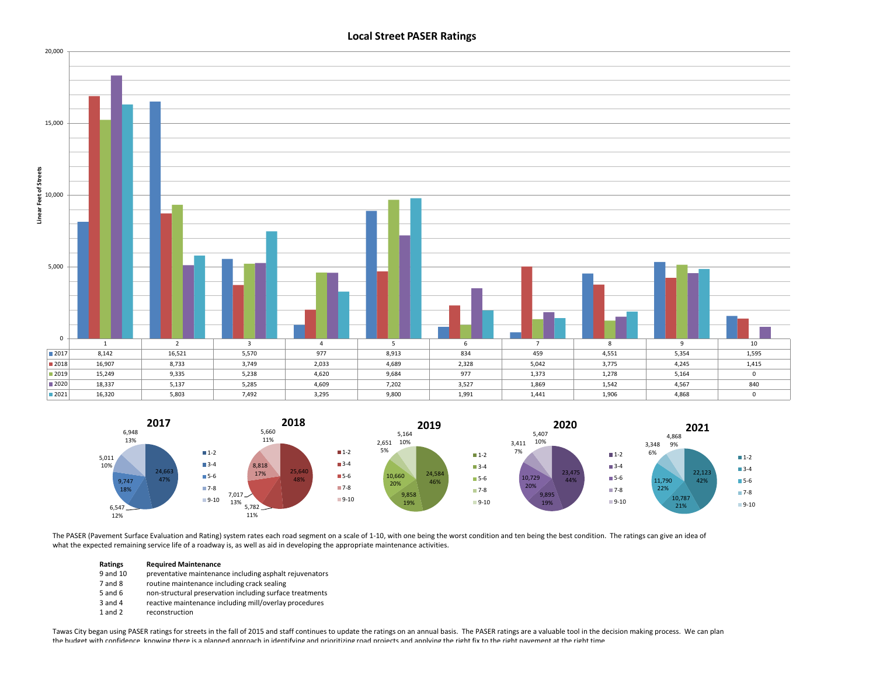

## **Local Street PASER Ratings**



The PASER (Pavement Surface Evaluation and Rating) system rates each road segment on a scale of 1-10, with one being the worst condition and ten being the best condition. The ratings can give an idea of what the expected remaining service life of a roadway is, as well as aid in developing the appropriate maintenance activities.

#### **Ratings Required Maintenance**

- 9 and 10 preventative maintenance including asphalt rejuvenators
- 7 and 8 routine maintenance including crack sealing
- 5 and 6 non-structural preservation including surface treatments
- 3 and 4 reactive maintenance including mill/overlay procedures
- 1 and 2 reconstruction

Tawas City began using PASER ratings for streets in the fall of 2015 and staff continues to update the ratings on an annual basis. The PASER ratings are a valuable tool in the decision making process. We can plan the budget with confidence knowing there is a planned approach in identifying and prioritizing road projects and applying the right fix to the right fiavement at the right time